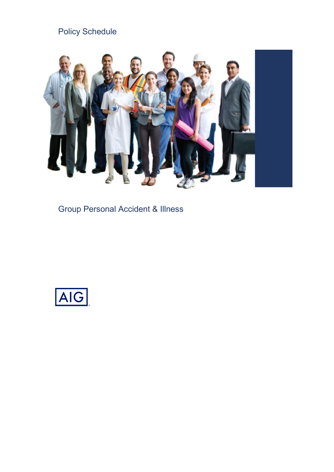## Policy Schedule



Group Personal Accident & Illness

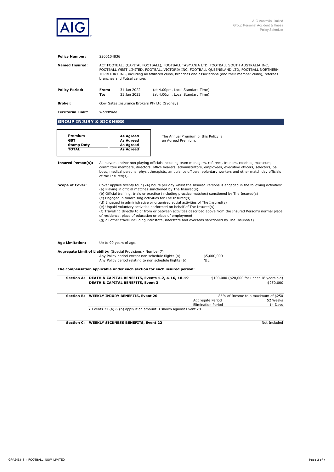

| <b>Policy Number:</b>                                      | 2200104836   |                                                                                                                                                                                                                                                                                                                                                                                                                                                                                                                                                                                                                                                                                                                                                                                                 |                                                                                                             |                                               |                                                            |  |
|------------------------------------------------------------|--------------|-------------------------------------------------------------------------------------------------------------------------------------------------------------------------------------------------------------------------------------------------------------------------------------------------------------------------------------------------------------------------------------------------------------------------------------------------------------------------------------------------------------------------------------------------------------------------------------------------------------------------------------------------------------------------------------------------------------------------------------------------------------------------------------------------|-------------------------------------------------------------------------------------------------------------|-----------------------------------------------|------------------------------------------------------------|--|
| <b>Named Insured:</b>                                      |              | ACT FOOTBALL (CAPITAL FOOTBALL), FOOTBALL TASMANIA LTD, FOOTBALL SOUTH AUSTRALIA INC,<br>FOOTBALL WEST LIMITED, FOOTBALL VICTORIA INC, FOOTBALL QUEENSLAND LTD, FOOTBALL NORTHERN<br>TERRITORY INC, including all affiliated clubs, branches and associations (and their member clubs), referees<br>branches and Futsal centres                                                                                                                                                                                                                                                                                                                                                                                                                                                                 |                                                                                                             |                                               |                                                            |  |
| <b>Policy Period:</b>                                      | From:<br>To: | 31 Jan 2022<br>31 Jan 2023                                                                                                                                                                                                                                                                                                                                                                                                                                                                                                                                                                                                                                                                                                                                                                      | (at 4.00pm. Local Standard Time)<br>(at 4.00pm. Local Standard Time)                                        |                                               |                                                            |  |
| <b>Broker:</b>                                             |              | Gow Gates Insurance Brokers Pty Ltd (Sydney)                                                                                                                                                                                                                                                                                                                                                                                                                                                                                                                                                                                                                                                                                                                                                    |                                                                                                             |                                               |                                                            |  |
| <b>Territorial Limit:</b>                                  | WorldWide    |                                                                                                                                                                                                                                                                                                                                                                                                                                                                                                                                                                                                                                                                                                                                                                                                 |                                                                                                             |                                               |                                                            |  |
| <b>GROUP INJURY &amp; SICKNESS</b>                         |              |                                                                                                                                                                                                                                                                                                                                                                                                                                                                                                                                                                                                                                                                                                                                                                                                 |                                                                                                             |                                               |                                                            |  |
| Premium<br><b>GST</b><br><b>Stamp Duty</b><br><b>TOTAL</b> |              | <b>As Agreed</b><br><b>As Agreed</b><br><b>As Agreed</b><br><b>As Agreed</b>                                                                                                                                                                                                                                                                                                                                                                                                                                                                                                                                                                                                                                                                                                                    | an Agreed Premium.                                                                                          | The Annual Premium of this Policy is          |                                                            |  |
| <b>Insured Person(s):</b>                                  |              | All players and/or non playing officials including team managers, referees, trainers, coaches, masseurs,<br>committee members, directors, office bearers, administrators, employees, executive officers, selectors, ball<br>boys, medical persons, physiotherapists, ambulance officers, voluntary workers and other match day officials<br>of the Insured(s).                                                                                                                                                                                                                                                                                                                                                                                                                                  |                                                                                                             |                                               |                                                            |  |
| <b>Scope of Cover:</b>                                     |              | Cover applies twenty four (24) hours per day whilst the Insured Persons is engaged in the following activities:<br>(a) Playing in official matches sanctioned by The Insured(s)<br>(b) Official training, trials or practice (including practice matches) sanctioned by The Insured(s)<br>(c) Engaged in fundraising activities for The Insured(s)<br>(d) Engaged in administrative or organised social activities of The Insured(s)<br>(e) Unpaid voluntary activities performed on behalf of The Insured(s)<br>(f) Travelling directly to or from or between activities described above from the Insured Person's normal place<br>of residence, place of education or place of employment.<br>(g) all other travel including intrastate, interstate and overseas sanctioned by The Insured(s) |                                                                                                             |                                               |                                                            |  |
| <b>Age Limitation:</b>                                     |              | Up to 90 years of age.                                                                                                                                                                                                                                                                                                                                                                                                                                                                                                                                                                                                                                                                                                                                                                          |                                                                                                             |                                               |                                                            |  |
|                                                            |              | Aggregate Limit of Liability: (Special Provisions - Number 7)                                                                                                                                                                                                                                                                                                                                                                                                                                                                                                                                                                                                                                                                                                                                   | Any Policy period except non schedule flights (a)<br>Any Policy period relating to non schedule flights (b) | \$5,000,000<br><b>NIL</b>                     |                                                            |  |
|                                                            |              |                                                                                                                                                                                                                                                                                                                                                                                                                                                                                                                                                                                                                                                                                                                                                                                                 | The compensation applicable under each section for each insured person:                                     |                                               |                                                            |  |
|                                                            |              | <b>DEATH &amp; CAPITAL BENEFITS, Event 3</b>                                                                                                                                                                                                                                                                                                                                                                                                                                                                                                                                                                                                                                                                                                                                                    | Section A: DEATH & CAPITAL BENEFITS, Events 1-2, 4-16, 18-19                                                |                                               | \$100,000 (\$20,000 for under 18 years old)<br>\$250,000   |  |
| <b>Section B:</b>                                          |              | <b>WEEKLY INJURY BENEFITS, Event 20</b>                                                                                                                                                                                                                                                                                                                                                                                                                                                                                                                                                                                                                                                                                                                                                         |                                                                                                             | Aggregate Period<br><b>Elimination Period</b> | 85% of Income to a maximum of \$250<br>52 Weeks<br>14 Days |  |
|                                                            |              |                                                                                                                                                                                                                                                                                                                                                                                                                                                                                                                                                                                                                                                                                                                                                                                                 | • Events 21 (a) & (b) apply if an amount is shown against Event 20                                          |                                               |                                                            |  |
|                                                            |              | Section C: WEEKLY SICKNESS BENEFITS, Event 22                                                                                                                                                                                                                                                                                                                                                                                                                                                                                                                                                                                                                                                                                                                                                   |                                                                                                             |                                               | Not Included                                               |  |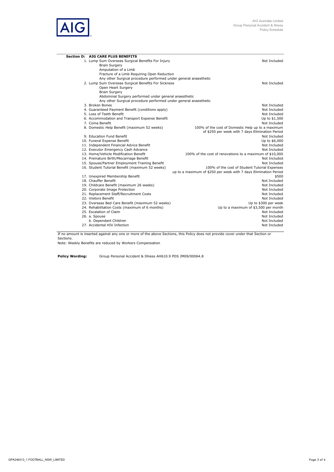

| <b>Section D: AIG CARE PLUS BENEFITS</b>                                  |                                                                  |
|---------------------------------------------------------------------------|------------------------------------------------------------------|
| 1. Lump Sum Overseas Surgical Benefits For Injury                         | Not Included                                                     |
| <b>Brain Surgery</b>                                                      |                                                                  |
| Amputation of a Limb                                                      |                                                                  |
| Fracture of a Limb Requiring Open Reduction                               |                                                                  |
| Any other Surgical procedure performed under general anaesthetic          |                                                                  |
| 2. Lump Sum Overseas Surgical Benefits For Sickness                       | Not Included                                                     |
| Open Heart Surgery                                                        |                                                                  |
| <b>Brain Surgery</b>                                                      |                                                                  |
| Abdominal Surgery performed under general anaesthetic                     |                                                                  |
| Any other Surgical procedure performed under general anaesthetic          |                                                                  |
| 3. Broken Bones                                                           | Not Included                                                     |
| 4. Guaranteed Payment Benefit (conditions apply)                          | Not Included                                                     |
| 5. Loss of Teeth Benefit                                                  | Not Included                                                     |
| 6. Accommodation and Transport Expense Benefit                            | Up to \$1,500                                                    |
| 7. Coma Benefit                                                           | Not Included                                                     |
| 8. Domestic Help Benefit (maximum 52 weeks)                               | 100% of the cost of Domestic Help up to a maximum                |
|                                                                           | of \$250 per week with 7 days Elimination Period                 |
| 9. Education Fund Benefit                                                 | Not Included                                                     |
| 10. Funeral Expense Benefit                                               | Up to \$6,000                                                    |
| 11. Independent Financial Advice Benefit                                  | Not Included                                                     |
| 12. Executor Emergency Cash Advance                                       | Not Included                                                     |
| 13. Home/Vehicle Modification Benefit                                     | 100% of the cost of renovations to a maximum of \$10,000         |
| 14. Premature Birth/Miscarriage Benefit                                   | Not Included                                                     |
| 15. Spouse/Partner Employment Training Benefit                            | Not Included                                                     |
| 16. Student Tutorial Benefit (maximum 52 weeks)                           | 100% of the cost of Student Tutorial Expenses                    |
|                                                                           | up to a maximum of \$250 per week with 7 days Elimination Period |
| 17. Unexpired Membership Benefit<br>18. Chauffer Benefit                  | \$500                                                            |
|                                                                           | Not Included                                                     |
| 19. Childcare Benefit (maximum 26 weeks)                                  | Not Included                                                     |
| 20. Corporate Image Protection                                            | Not Included                                                     |
| 21. Replacement Staff/Recruitment Costs                                   | Not Included                                                     |
| 22. Visitors Benefit                                                      | Not Included                                                     |
| 23. Overseas Bed Care Benefit (maximum 52 weeks)                          | Up to \$300 per week                                             |
| 24. Rehabilitation Costs (maximum of 6 months)<br>25. Escalation of Claim | Up to a maximum of \$3,500 per month<br>Not Included             |
| 26. a. Spouse                                                             | Not Included                                                     |
| b. Dependant Children                                                     | Not Included                                                     |
| 27. Accidental HIV Infection                                              | Not Included                                                     |
|                                                                           |                                                                  |

If no amount is inserted against any one or more of the above Sections, this Policy does not provide cover under that Section or Sections.

Note: Weekly Benefits are reduced by Workers Compensation

Policy Wording: Group Personal Accident & Illness AH610.9 PDS JM09/00064.8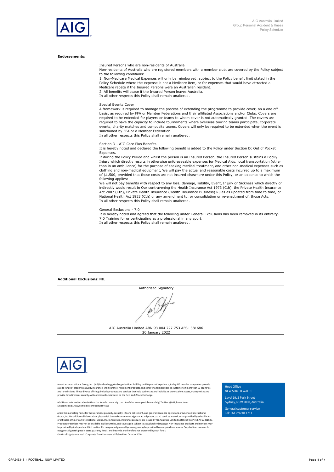#### Endorsements:

Insured Persons who are non-residents of Australia

Non-residents of Australia who are registered members with a member club, are covered by the Policy subject to the following conditions:

1. Non-Medicare Medical Expenses will only be reimbursed, subject to the Policy benefit limit stated in the Policy Schedule where the expense is not a Medicare item, or for expenses that would have attracted a Medicare rebate if the Insured Persons were an Australian resident. 2. All benefits will cease if the Insured Person leaves Australia.

In all other respects this Policy shall remain unaltered.

#### Special Events Cover

A framework is required to manage the process of extending the programme to provide cover, on a one off basis, as required by FFA or Member Federations and their affiliated Associations and/or Clubs. Covers are required to be extended for players or teams to whom cover is not automatically granted. The covers are required to have the capacity to include tournaments where overseas touring teams participate, corporate events, charity matches and composite teams. Covers will only be required to be extended when the event is sanctioned by FFA or a Member Federation.

In all other respects this Policy shall remain unaltered.

#### Section D - AIG Care Plus Benefits

It is hereby noted and declared the following benefit is added to the Policy under Section D: Out of Pocket Expenses.

If during the Policy Period and whilst the person is an Insured Person, the Insured Person sustains a Bodily Injury which directly results in otherwise unforeseeable expenses for Medical Aids, local transportation (other than in an ambulance) for the purpose of seeking medical treatment, and other non-medical expenses such as clothing and non-medical equipment, We will pay the actual and reasonable costs incurred up to a maximum of \$1,500, provided that those costs are not insured elsewhere under this Policy, or an expense to which the following applies:

We will not pay benefits with respect to any loss, damage, liability, Event, Injury or Sickness which directly or indirectly would result in Our contravening the Health Insurance Act 1973 (Cth), the Private Health Insurance Act 2007 (Cth), Private Health Insurance (Health Insurance Business) Rules as updated from time to time, or National Health Act 1953 (Cth) or any amendment to, or consolidation or re-enactment of, those Acts. In all other respects this Policy shall remain unaltered.

#### General Exclusions - 7.0

It is hereby noted and agreed that the following under General Exclusions has been removed in its entireity. 7.0 Training for or participating as a professional in any sport. In all other respects this Policy shall remain unaltered.

Additional Exclusions: NIL

Authorised Signatory mi

AIG Australia Limited ABN 93 004 727 753 AFSL 381686 20 January 2022



American International Group, Inc. (AIG) is a leading global organisation. Building on 100 years of experience, today AIG member companies provide a wide range of property casualty insurance, life insurance, retirement products, and other financial services to customers in more than 80 countries<br>and jurisdictions. These diverse offerings include products and services

Additional information about AIG can be found at www.aig.com | YouTube: www.youtube.com/aig | Twitter: @AIG\_LatestNews | LinkedIn: http://www.linkedin.com/company/aig

AIG is the marketing name for the worldwide property-casualty, life and retirement, and general insurance operations of American International Group, Inc. For additional information, please visit Our website at www.aig.com.au. All products and services are written or provided by subsidiaries<br>or affliates of American International Group, Inc. In Australia, insuran be provided by independent third parties. Certain property-casualty coverages may be provided by a surplus lines insurer. Surplus lines insurers do<br>not generally participate in state guaranty funds, and insureds are there

Head Office<br>NEW SOUTH WALES<br>Level 19, 2 Park Street<br>Sydney, NSW 2000, Australia<br>General customer service Head Office<br>NEW SOUTH WALES<br>Level 19, 2 Park Street<br>Sydney, NSW 2000, Australia<br>General customer service<br>Tel: +61 2 9240 1711 Head Office<br>NEW SOUTH WALES<br>Level 19, 2 Park Street<br>Sydney, NSW 2000, Australia<br>General customer service<br>Tel: +61 2 9240 1711